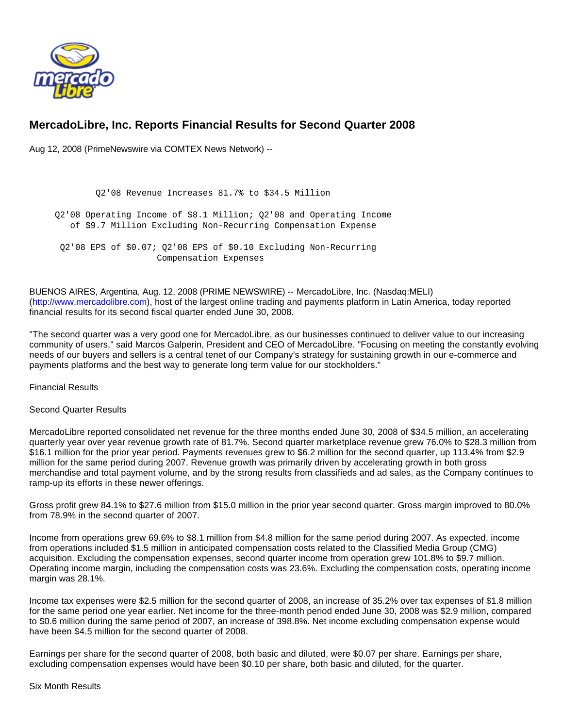

# **MercadoLibre, Inc. Reports Financial Results for Second Quarter 2008**

Aug 12, 2008 (PrimeNewswire via COMTEX News Network) --

 Q2'08 Revenue Increases 81.7% to \$34.5 Million Q2'08 Operating Income of \$8.1 Million; Q2'08 and Operating Income of \$9.7 Million Excluding Non-Recurring Compensation Expense Q2'08 EPS of \$0.07; Q2'08 EPS of \$0.10 Excluding Non-Recurring Compensation Expenses

BUENOS AIRES, Argentina, Aug. 12, 2008 (PRIME NEWSWIRE) -- MercadoLibre, Inc. (Nasdaq:MELI) [\(http://www.mercadolibre.com\)](http://www.mercadolibre.com/), host of the largest online trading and payments platform in Latin America, today reported financial results for its second fiscal quarter ended June 30, 2008.

"The second quarter was a very good one for MercadoLibre, as our businesses continued to deliver value to our increasing community of users," said Marcos Galperin, President and CEO of MercadoLibre. "Focusing on meeting the constantly evolving needs of our buyers and sellers is a central tenet of our Company's strategy for sustaining growth in our e-commerce and payments platforms and the best way to generate long term value for our stockholders."

Financial Results

## Second Quarter Results

MercadoLibre reported consolidated net revenue for the three months ended June 30, 2008 of \$34.5 million, an accelerating quarterly year over year revenue growth rate of 81.7%. Second quarter marketplace revenue grew 76.0% to \$28.3 million from \$16.1 million for the prior year period. Payments revenues grew to \$6.2 million for the second quarter, up 113.4% from \$2.9 million for the same period during 2007. Revenue growth was primarily driven by accelerating growth in both gross merchandise and total payment volume, and by the strong results from classifieds and ad sales, as the Company continues to ramp-up its efforts in these newer offerings.

Gross profit grew 84.1% to \$27.6 million from \$15.0 million in the prior year second quarter. Gross margin improved to 80.0% from 78.9% in the second quarter of 2007.

Income from operations grew 69.6% to \$8.1 million from \$4.8 million for the same period during 2007. As expected, income from operations included \$1.5 million in anticipated compensation costs related to the Classified Media Group (CMG) acquisition. Excluding the compensation expenses, second quarter income from operation grew 101.8% to \$9.7 million. Operating income margin, including the compensation costs was 23.6%. Excluding the compensation costs, operating income margin was 28.1%.

Income tax expenses were \$2.5 million for the second quarter of 2008, an increase of 35.2% over tax expenses of \$1.8 million for the same period one year earlier. Net income for the three-month period ended June 30, 2008 was \$2.9 million, compared to \$0.6 million during the same period of 2007, an increase of 398.8%. Net income excluding compensation expense would have been \$4.5 million for the second quarter of 2008.

Earnings per share for the second quarter of 2008, both basic and diluted, were \$0.07 per share. Earnings per share, excluding compensation expenses would have been \$0.10 per share, both basic and diluted, for the quarter.

Six Month Results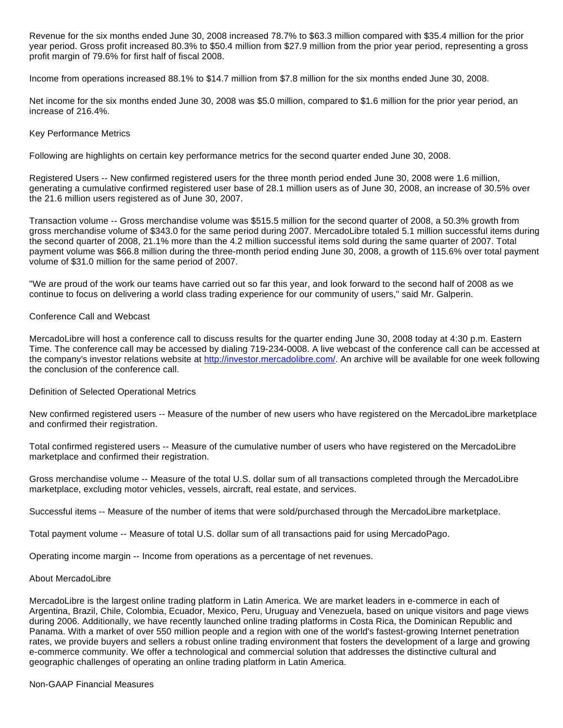Revenue for the six months ended June 30, 2008 increased 78.7% to \$63.3 million compared with \$35.4 million for the prior year period. Gross profit increased 80.3% to \$50.4 million from \$27.9 million from the prior year period, representing a gross profit margin of 79.6% for first half of fiscal 2008.

Income from operations increased 88.1% to \$14.7 million from \$7.8 million for the six months ended June 30, 2008.

Net income for the six months ended June 30, 2008 was \$5.0 million, compared to \$1.6 million for the prior year period, an increase of 216.4%.

#### Key Performance Metrics

Following are highlights on certain key performance metrics for the second quarter ended June 30, 2008.

Registered Users -- New confirmed registered users for the three month period ended June 30, 2008 were 1.6 million, generating a cumulative confirmed registered user base of 28.1 million users as of June 30, 2008, an increase of 30.5% over the 21.6 million users registered as of June 30, 2007.

Transaction volume -- Gross merchandise volume was \$515.5 million for the second quarter of 2008, a 50.3% growth from gross merchandise volume of \$343.0 for the same period during 2007. MercadoLibre totaled 5.1 million successful items during the second quarter of 2008, 21.1% more than the 4.2 million successful items sold during the same quarter of 2007. Total payment volume was \$66.8 million during the three-month period ending June 30, 2008, a growth of 115.6% over total payment volume of \$31.0 million for the same period of 2007.

"We are proud of the work our teams have carried out so far this year, and look forward to the second half of 2008 as we continue to focus on delivering a world class trading experience for our community of users," said Mr. Galperin.

### Conference Call and Webcast

MercadoLibre will host a conference call to discuss results for the quarter ending June 30, 2008 today at 4:30 p.m. Eastern Time. The conference call may be accessed by dialing 719-234-0008. A live webcast of the conference call can be accessed at the company's investor relations website at [http://investor.mercadolibre.com/.](http://investor.mercadolibre.com/) An archive will be available for one week following the conclusion of the conference call.

#### Definition of Selected Operational Metrics

New confirmed registered users -- Measure of the number of new users who have registered on the MercadoLibre marketplace and confirmed their registration.

Total confirmed registered users -- Measure of the cumulative number of users who have registered on the MercadoLibre marketplace and confirmed their registration.

Gross merchandise volume -- Measure of the total U.S. dollar sum of all transactions completed through the MercadoLibre marketplace, excluding motor vehicles, vessels, aircraft, real estate, and services.

Successful items -- Measure of the number of items that were sold/purchased through the MercadoLibre marketplace.

Total payment volume -- Measure of total U.S. dollar sum of all transactions paid for using MercadoPago.

Operating income margin -- Income from operations as a percentage of net revenues.

#### About MercadoLibre

MercadoLibre is the largest online trading platform in Latin America. We are market leaders in e-commerce in each of Argentina, Brazil, Chile, Colombia, Ecuador, Mexico, Peru, Uruguay and Venezuela, based on unique visitors and page views during 2006. Additionally, we have recently launched online trading platforms in Costa Rica, the Dominican Republic and Panama. With a market of over 550 million people and a region with one of the world's fastest-growing Internet penetration rates, we provide buyers and sellers a robust online trading environment that fosters the development of a large and growing e-commerce community. We offer a technological and commercial solution that addresses the distinctive cultural and geographic challenges of operating an online trading platform in Latin America.

#### Non-GAAP Financial Measures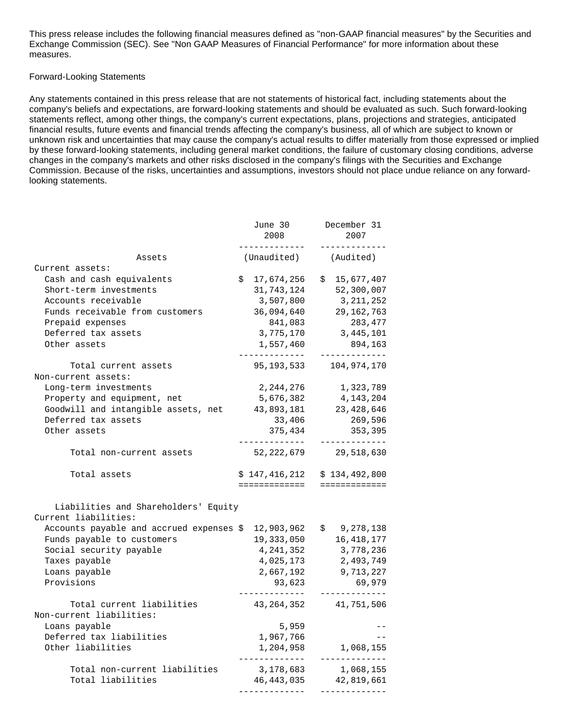This press release includes the following financial measures defined as "non-GAAP financial measures" by the Securities and Exchange Commission (SEC). See "Non GAAP Measures of Financial Performance" for more information about these measures.

### Forward-Looking Statements

Any statements contained in this press release that are not statements of historical fact, including statements about the company's beliefs and expectations, are forward-looking statements and should be evaluated as such. Such forward-looking statements reflect, among other things, the company's current expectations, plans, projections and strategies, anticipated financial results, future events and financial trends affecting the company's business, all of which are subject to known or unknown risk and uncertainties that may cause the company's actual results to differ materially from those expressed or implied by these forward-looking statements, including general market conditions, the failure of customary closing conditions, adverse changes in the company's markets and other risks disclosed in the company's filings with the Securities and Exchange Commission. Because of the risks, uncertainties and assumptions, investors should not place undue reliance on any forwardlooking statements.

|                                                              | June 30<br>2008<br>------------ | December 31<br>2007<br>----------      |
|--------------------------------------------------------------|---------------------------------|----------------------------------------|
| Assets                                                       | (Unaudited)                     | (Audited)                              |
| Current assets:                                              |                                 |                                        |
| Cash and cash equivalents                                    | \$17,674,256                    | \$15,677,407                           |
| Short-term investments                                       | 31,743,124                      | 52,300,007                             |
| Accounts receivable                                          | 3,507,800                       | 3, 211, 252                            |
| Funds receivable from customers                              | 36,094,640                      | 29,162,763                             |
| Prepaid expenses                                             | 841,083                         | 283,477                                |
| Deferred tax assets                                          | 3,775,170                       | 3, 445, 101                            |
| Other assets                                                 | 1,557,460<br>____________       | 894,163<br>_____________               |
| Total current assets<br>Non-current assets:                  | 95,193,533                      | 104,974,170                            |
| Long-term investments                                        | 2,244,276                       | 1,323,789                              |
| Property and equipment, net                                  | 5,676,382                       | 4, 143, 204                            |
| Goodwill and intangible assets, net                          | 43,893,181                      | 23, 428, 646                           |
| Deferred tax assets                                          | 33,406                          | 269,596                                |
| Other assets                                                 | 375,434                         | 353,395<br>__________                  |
| Total non-current assets                                     | 52,222,679                      | 29,518,630                             |
| Total assets                                                 |                                 | $$147,416,212 \t$134,492,800$          |
|                                                              |                                 | ==============================         |
| Liabilities and Shareholders' Equity<br>Current liabilities: |                                 |                                        |
| Accounts payable and accrued expenses \$                     | 12,903,962                      | \$9,278,138                            |
| Funds payable to customers                                   | 19,333,050                      | 16, 418, 177                           |
| Social security payable                                      | 4,241,352                       | 3,778,236                              |
| Taxes payable                                                | 4,025,173                       | 2,493,749                              |
| Loans payable                                                | 2,667,192                       | 9,713,227                              |
| Provisions                                                   | 93,623                          | 69,979                                 |
| Total current liabilities<br>Non-current liabilities:        | 43,264,352                      | 41,751,506                             |
| Loans payable                                                | 5,959                           |                                        |
| Deferred tax liabilities                                     | 1,967,766                       | $- -$                                  |
| Other liabilities                                            | 1,204,958                       | 1,068,155<br>_____________             |
| Total non-current liabilities                                | 3,178,683                       | 1,068,155                              |
| Total liabilities                                            |                                 | 46,443,035 42,819,661<br>------------- |
|                                                              |                                 |                                        |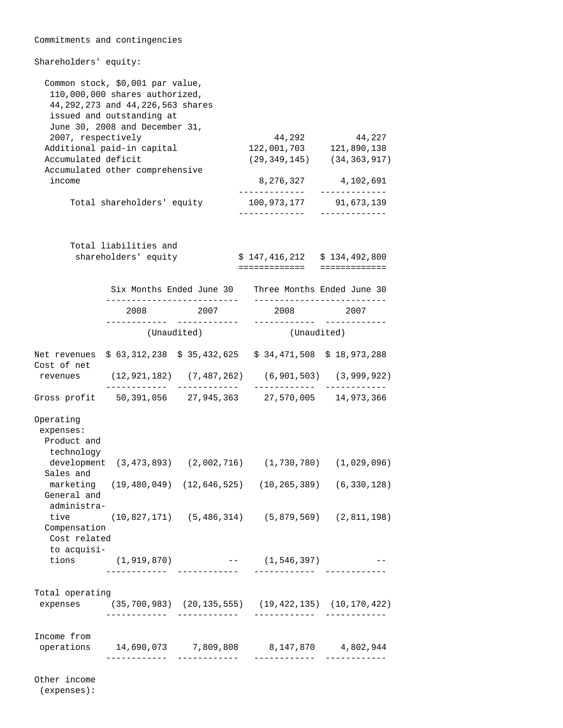| Commitments and contingencies                            |                                                                                                                                                                                                         |                                |                                                              |                                                            |
|----------------------------------------------------------|---------------------------------------------------------------------------------------------------------------------------------------------------------------------------------------------------------|--------------------------------|--------------------------------------------------------------|------------------------------------------------------------|
| Shareholders' equity:                                    |                                                                                                                                                                                                         |                                |                                                              |                                                            |
| 2007, respectively<br>Accumulated deficit                | Common stock, \$0,001 par value,<br>110,000,000 shares authorized,<br>44, 292, 273 and 44, 226, 563 shares<br>issued and outstanding at<br>June 30, 2008 and December 31,<br>Additional paid-in capital |                                | 44,292<br>122,001,703                                        | 44,227<br>121,890,138<br>$(29, 349, 145)$ $(34, 363, 917)$ |
| income                                                   | Accumulated other comprehensive                                                                                                                                                                         |                                | 8,276,327                                                    | 4,102,691                                                  |
|                                                          | Total shareholders' equity                                                                                                                                                                              |                                | --------------<br>100,973,177<br>. <u>.</u>                  | _____________<br>91,673,139<br>-----------                 |
|                                                          | Total liabilities and<br>shareholders' equity                                                                                                                                                           |                                | $$147,416,212 \t$134,492,800$<br>=============               | =============                                              |
|                                                          |                                                                                                                                                                                                         | Six Months Ended June 30       |                                                              | Three Months Ended June 30                                 |
|                                                          | -----------------------<br>2008                                                                                                                                                                         | 2007                           | 2008                                                         | 2007                                                       |
|                                                          |                                                                                                                                                                                                         | (Unaudited)                    | (Unaudited)                                                  | -------------                                              |
| Net revenues<br>Cost of net                              |                                                                                                                                                                                                         | \$63,312,238 \$35,432,625      |                                                              | $$34,471,508 \$18,973,288$                                 |
| revenues                                                 | ____________                                                                                                                                                                                            | (12,921,182) (7,487,262)       |                                                              | $(6, 901, 503)$ $(3, 999, 922)$                            |
| Gross profit 50,391,056 27,945,363 27,570,005 14,973,366 |                                                                                                                                                                                                         |                                |                                                              |                                                            |
| Operating<br>expenses:<br>Product and<br>technology      |                                                                                                                                                                                                         |                                |                                                              |                                                            |
| Sales and                                                |                                                                                                                                                                                                         |                                | development (3,473,893) (2,002,716) (1,730,780) (1,029,096)  |                                                            |
| General and<br>administra-                               |                                                                                                                                                                                                         |                                | marketing (19,480,049) (12,646,525) (10,265,389) (6,330,128) |                                                            |
| tive<br>Compensation<br>Cost related<br>to acquisi-      |                                                                                                                                                                                                         |                                | $(10,827,171)$ $(5,486,314)$ $(5,879,569)$ $(2,811,198)$     |                                                            |
|                                                          |                                                                                                                                                                                                         | ______________________________ | tions $(1,919,870)$ -- $(1,546,397)$                         |                                                            |
| Total operating                                          | ____________                                                                                                                                                                                            | ____________                   | expenses (35,700,983) (20,135,555) (19,422,135) (10,170,422) | _____________________________                              |
| Income from<br>operations                                | _ _ _ _ _ _ _ _ _ _ _ _ _                                                                                                                                                                               | ____________                   | 14,690,073 7,809,808 8,147,870 4,802,944<br>_____________    | ____________                                               |

Other income

(expenses):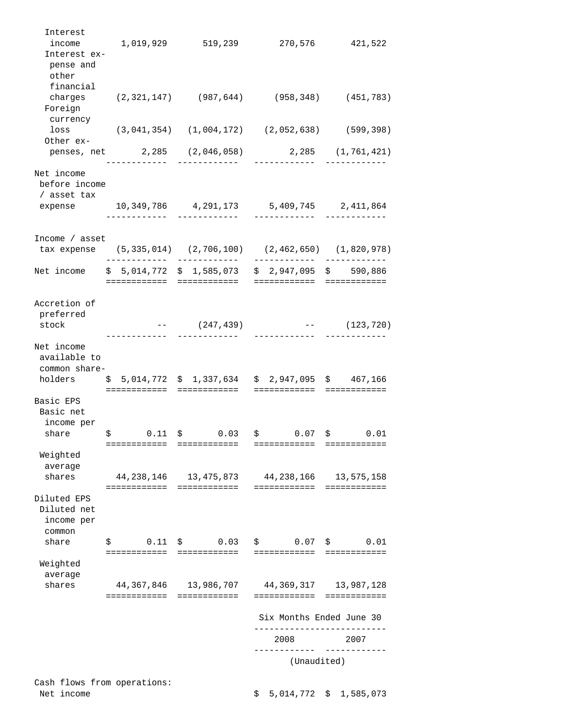| Interest<br>income<br>Interest ex-<br>pense and<br>other |                                        | 1,019,929 519,239                     | 270,576                                                         | 421,522                    |
|----------------------------------------------------------|----------------------------------------|---------------------------------------|-----------------------------------------------------------------|----------------------------|
| financial<br>Foreign<br>currency                         |                                        |                                       | charges (2,321,147) (987,644) (958,348) (451,783)               |                            |
| loss<br>Other ex-                                        |                                        |                                       | $(3,041,354)$ $(1,004,172)$ $(2,052,638)$ $(599,398)$           |                            |
|                                                          | _________                              | _____________                         | penses, net 2,285 (2,046,058) 2,285 (1,761,421)<br>____________ |                            |
| Net income<br>before income<br>/ asset tax               |                                        |                                       |                                                                 |                            |
|                                                          |                                        | ____________                          | expense 10,349,786 4,291,173 5,409,745 2,411,864                | ------------               |
| Income $/$ asset                                         |                                        |                                       |                                                                 |                            |
|                                                          |                                        |                                       | tax expense (5,335,014) (2,706,100) (2,462,650) (1,820,978)     | ------------               |
| Net income                                               |                                        | $$5,014,772 \ $1,585,073$             | $$2,947,095$ \$ 590,886<br>==========================           |                            |
| Accretion of<br>preferred<br>stock                       |                                        | $---(247, 439)$                       |                                                                 | $---$ (123,720)            |
| Net income<br>available to<br>common share-              |                                        | holders \$5,014,772 \$1,337,634       | \$2,947,095 \$467,166                                           | ------------               |
| Basic EPS<br>Basic net<br>income per<br>share            | \$                                     | $0.11 \quad $0.03$                    | $$0.07$ \$ 0.01                                                 |                            |
| Weighted<br>average                                      | ============                           | ============                          | ============                                                    | ============               |
| shares                                                   | 44,238,146<br>============             | 13,475,873<br>============            | 44,238,166<br>============                                      | 13,575,158<br>============ |
| Diluted EPS<br>Diluted net<br>income per<br>common       |                                        |                                       |                                                                 |                            |
| share                                                    | 0.11<br>Ş<br>========================= | \$0.03                                | \$0.07<br>============                                          | \$0.01<br>============     |
| Weighted<br>average                                      |                                        |                                       |                                                                 |                            |
| shares                                                   | ============                           | 44,367,846 13,986,707<br>============ | 44,369,317<br>============                                      | 13,987,128<br>============ |
|                                                          |                                        |                                       | Six Months Ended June 30                                        |                            |
|                                                          |                                        |                                       | 2008                                                            | 2007                       |
|                                                          |                                        |                                       | (Unaudited)                                                     |                            |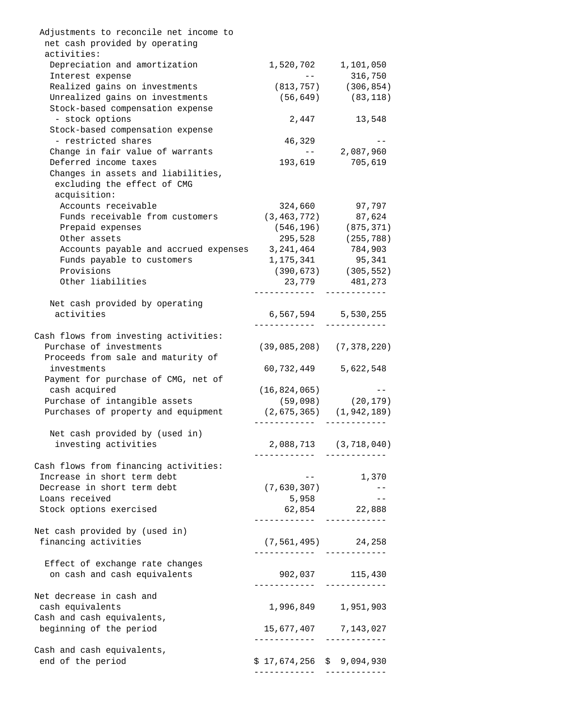| Adjustments to reconcile net income to                      |                                   |                                  |
|-------------------------------------------------------------|-----------------------------------|----------------------------------|
| net cash provided by operating                              |                                   |                                  |
| activities:                                                 |                                   |                                  |
| Depreciation and amortization                               |                                   | 1,520,702 1,101,050              |
| Interest expense                                            | and the state of the state of the | 316,750                          |
| Realized gains on investments                               |                                   | $(813, 757)$ $(306, 854)$        |
| Unrealized gains on investments                             |                                   | $(56, 649)$ (83,118)             |
| Stock-based compensation expense                            |                                   |                                  |
| - stock options                                             | 2,447                             | 13,548                           |
| Stock-based compensation expense                            |                                   |                                  |
| - restricted shares                                         | 46,329                            | $- -$                            |
| Change in fair value of warrants                            |                                   | $-- 2,087,960$                   |
| Deferred income taxes                                       |                                   | 193,619 705,619                  |
| Changes in assets and liabilities,                          |                                   |                                  |
| excluding the effect of CMG                                 |                                   |                                  |
|                                                             |                                   |                                  |
| acquisition:                                                |                                   |                                  |
| Accounts receivable                                         | 324,660                           | 97,797                           |
| Funds receivable from customers                             |                                   | $(3, 463, 772)$ 87,624           |
| Prepaid expenses                                            |                                   | $(546, 196)$ $(875, 371)$        |
| Other assets                                                | 295,528                           | (255, 788)                       |
| Accounts payable and accrued expenses 3, 241, 464           |                                   | 784,903                          |
| Funds payable to customers                                  | 1,175,341                         | 95,341                           |
| Provisions                                                  |                                   | $(390, 673)$ $(305, 552)$        |
| Other liabilities                                           |                                   | 23,779 481,273                   |
|                                                             | __________                        | ------------                     |
| Net cash provided by operating                              |                                   |                                  |
| activities                                                  |                                   | 6,567,594 5,530,255              |
|                                                             |                                   |                                  |
| Cash flows from investing activities:                       |                                   |                                  |
| Purchase of investments                                     |                                   | $(39, 085, 208)$ $(7, 378, 220)$ |
|                                                             |                                   |                                  |
| Proceeds from sale and maturity of                          |                                   |                                  |
| investments                                                 |                                   | 60,732,449 5,622,548             |
| Payment for purchase of CMG, net of                         |                                   |                                  |
| cash acquired                                               | (16, 824, 065)                    | and the contract of the season   |
| Purchase of intangible assets                               |                                   | $(59,098)$ $(20,179)$            |
| Purchases of property and equipment (2,675,365) (1,942,189) |                                   |                                  |
|                                                             |                                   |                                  |
| Net cash provided by (used in)                              |                                   |                                  |
| investing activities                                        |                                   | 2,088,713 (3,718,040)            |
|                                                             |                                   |                                  |
| Cash flows from financing activities:                       |                                   |                                  |
| Increase in short term debt                                 |                                   | 1,370                            |
| Decrease in short term debt                                 | (7,630,307)                       | $- - -$                          |
|                                                             |                                   | $- -$                            |
| Loans received                                              | 5,958                             |                                  |
| Stock options exercised                                     |                                   | 62,854 22,888                    |
|                                                             |                                   |                                  |
| Net cash provided by (used in)                              |                                   |                                  |
| financing activities                                        |                                   | $(7, 561, 495)$ 24, 258          |
|                                                             |                                   |                                  |
| Effect of exchange rate changes                             |                                   |                                  |
| on cash and cash equivalents                                |                                   | 902,037 115,430                  |
|                                                             |                                   |                                  |
| Net decrease in cash and                                    |                                   |                                  |
| cash equivalents                                            |                                   | 1,996,849 1,951,903              |
| Cash and cash equivalents,                                  |                                   |                                  |
| beginning of the period                                     |                                   | 15,677,407 7,143,027             |
|                                                             | . _ _ _ _ _ _ _ _ _ _ _           | ____________                     |
| Cash and cash equivalents,                                  |                                   |                                  |
|                                                             |                                   |                                  |
| end of the period                                           | \$17,674,256 \$9,094,930          |                                  |
|                                                             |                                   |                                  |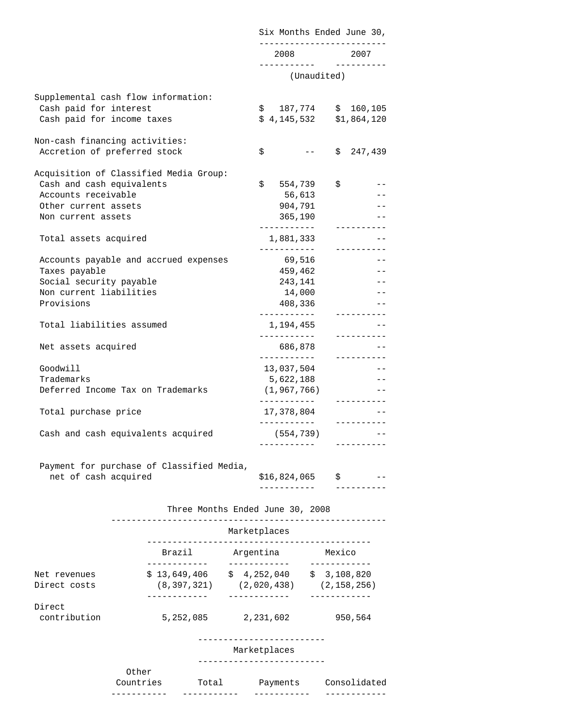|                                           | Six Months Ended June 30, |             |
|-------------------------------------------|---------------------------|-------------|
|                                           | 2008                      | 2007        |
|                                           | (Unaudited)               |             |
|                                           |                           |             |
| Supplemental cash flow information:       |                           |             |
| Cash paid for interest                    | $$187,774$ $$160,105$     |             |
| Cash paid for income taxes                | $$4,145,532$ $$1,864,120$ |             |
| Non-cash financing activities:            |                           |             |
| Accretion of preferred stock              | \$                        | \$247,439   |
|                                           |                           |             |
| Acquisition of Classified Media Group:    |                           |             |
| Cash and cash equivalents                 | \$<br>554,739             | \$          |
| Accounts receivable                       | 56,613                    |             |
| Other current assets                      | 904,791                   |             |
| Non current assets                        | 365,190<br>___________    | __________  |
| Total assets acquired                     | 1,881,333                 |             |
|                                           | ___________               | __________  |
| Accounts payable and accrued expenses     | 69,516                    |             |
| Taxes payable                             | 459,462                   |             |
| Social security payable                   | 243,141                   |             |
| Non current liabilities                   | 14,000                    |             |
| Provisions                                | 408,336                   |             |
|                                           | ___________               | __________  |
| Total liabilities assumed                 | 1,194,455                 |             |
|                                           | ------------              | ----------  |
| Net assets acquired                       | 686,878                   |             |
|                                           | ___________               | __________  |
| Goodwill                                  | 13,037,504                |             |
| Trademarks                                | 5,622,188                 |             |
| Deferred Income Tax on Trademarks         | (1, 967, 766)             |             |
|                                           | ___________               | ----------  |
| Total purchase price                      | 17,378,804<br>___________ | ----------- |
|                                           |                           |             |
| Cash and cash equivalents acquired        | (554,739)                 |             |
|                                           |                           |             |
| Payment for purchase of Classified Media, |                           |             |

|  | net of cash acquired | \$16,824,065 |  |  |
|--|----------------------|--------------|--|--|
|  |                      |              |  |  |

|                              |                               | Marketplaces                   |                              |  |  |
|------------------------------|-------------------------------|--------------------------------|------------------------------|--|--|
|                              | Brazil                        | Argentina                      | Mexico                       |  |  |
| Net revenues<br>Direct costs | \$13,649,406<br>(8, 397, 321) | 4,252,040<br>S.<br>(2,020,438) | \$3,108,820<br>(2, 158, 256) |  |  |
| Direct<br>contribution       | 5,252,085                     | 2,231,602                      | 950,564                      |  |  |

Three Months Ended June 30, 2008

-------------------------

Marketplaces

-------------------------

Other

 Countries Total Payments Consolidated ----------- ----------- ----------- ------------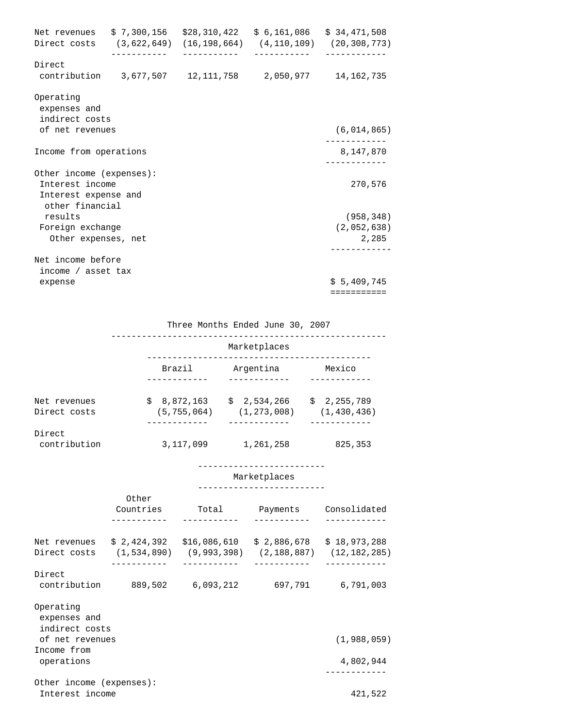|                                                                                        | Net revenues \$ 7,300,156 \$28,310,422 \$ 6,161,086 \$ 34,471,508<br>. <u>.</u> . | ------------ | . <u>.</u> | Direct costs (3,622,649) (16,198,664) (4,110,109) (20,308,773)<br>------------ |
|----------------------------------------------------------------------------------------|-----------------------------------------------------------------------------------|--------------|------------|--------------------------------------------------------------------------------|
| Direct                                                                                 | contribution 3,677,507 12,111,758 2,050,977 14,162,735                            |              |            |                                                                                |
| Operating<br>expenses and<br>indirect costs                                            |                                                                                   |              |            |                                                                                |
| of net revenues                                                                        |                                                                                   |              |            | (6, 014, 865)                                                                  |
| Income from operations                                                                 |                                                                                   |              |            | 8,147,870                                                                      |
| Other income (expenses):<br>Interest income<br>Interest expense and<br>other financial |                                                                                   |              |            | ___________<br>270,576                                                         |
| results                                                                                |                                                                                   |              |            | (958, 348)                                                                     |
| Foreign exchange<br>Other expenses, net                                                |                                                                                   |              |            | (2,052,638)<br>2,285                                                           |
| Net income before                                                                      |                                                                                   |              |            |                                                                                |
| income / asset tax                                                                     |                                                                                   |              |            | \$5,409,745                                                                    |
| expense                                                                                |                                                                                   |              |            | ===========                                                                    |

Three Months Ended June 30, 2007

|                              |                              | Marketplaces                 |                              |  |  |
|------------------------------|------------------------------|------------------------------|------------------------------|--|--|
|                              | Brazil                       | Argentina                    | Mexico                       |  |  |
| Net revenues<br>Direct costs | \$8,872,163<br>(5, 755, 064) | \$2,534,266<br>(1, 273, 008) | \$2,255,789<br>(1, 430, 436) |  |  |
| Direct<br>contribution       | 3,117,099                    | 1,261,258                    | 825, 353                     |  |  |

-------------------------

#### Marketplaces

#### -------------------------

|                              | Other<br>Countries           | Total                       | Payments                     | Consolidated                   |
|------------------------------|------------------------------|-----------------------------|------------------------------|--------------------------------|
| Net revenues<br>Direct costs | \$2,424,392<br>(1, 534, 890) | \$16,086,610<br>(9,993,398) | \$2.886.678<br>(2, 188, 887) | \$18,973,288<br>(12, 182, 285) |
| Direct<br>contribution       | 889,502                      | 6,093,212                   | 697,791                      | 6,791,003                      |
| Operating<br>expenses and    |                              |                             |                              |                                |

indirect costs

| of net revenues |  |
|-----------------|--|
| Income from     |  |
| operations      |  |

 Other income (expenses): Interest income 421,522

 $(1,988,059)$ 

 operations 4,802,944 ------------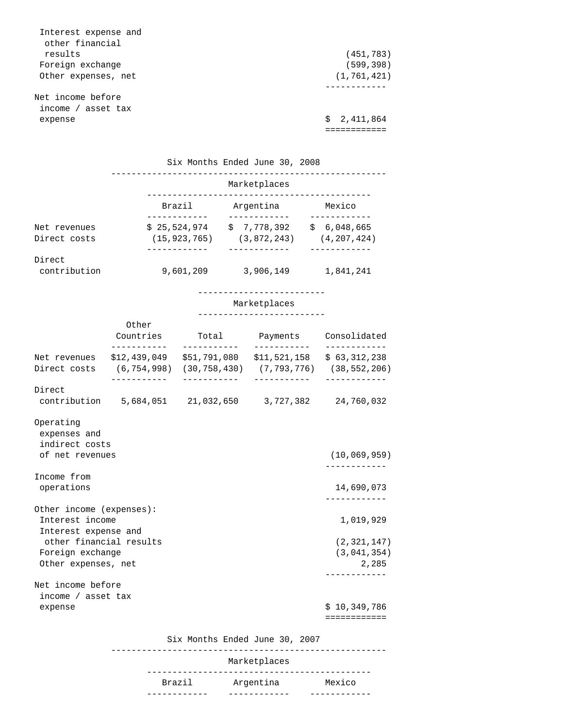| Interest expense and<br>other financial |               |
|-----------------------------------------|---------------|
| results                                 | (451, 783)    |
| Foreign exchange                        | (599, 398)    |
| Other expenses, net                     | (1, 761, 421) |
|                                         |               |
| Net income before                       |               |
| income / asset tax                      |               |
| expense                                 | \$2,411,864   |
|                                         |               |

|                              |                                | Six Months Ended June 30, 2008 |                              |  |
|------------------------------|--------------------------------|--------------------------------|------------------------------|--|
|                              | Marketplaces                   |                                |                              |  |
|                              | Brazil                         | Argentina                      | Mexico                       |  |
| Net revenues<br>Direct costs | \$25,524,974<br>(15, 923, 765) | \$7,778,392<br>(3,872,243)     | \$6,048,665<br>(4, 207, 424) |  |
| Direct<br>contribution       | 9,601,209                      | 3,906,149                      | 1,841,241                    |  |

-------------------------

#### Marketplaces

-------------------------

|                                                                                                                                     | Other<br>Countries<br>- - - - - - - - - - <sup>-</sup> - | Total Payments Consolidated<br>------------            | -----------                         |
|-------------------------------------------------------------------------------------------------------------------------------------|----------------------------------------------------------|--------------------------------------------------------|-------------------------------------|
| Net revenues \$12,439,049 \$51,791,080 \$11,521,158 \$ 63,312,238<br>Direct costs (6,754,998) (30,758,430) (7,793,776) (38,552,206) | . _ _ _ _ _ _ _ _ _                                      |                                                        | -----------                         |
| Direct                                                                                                                              |                                                          | contribution 5,684,051 21,032,650 3,727,382 24,760,032 |                                     |
| Operating<br>expenses and<br>indirect costs                                                                                         |                                                          |                                                        |                                     |
| of net revenues                                                                                                                     |                                                          |                                                        | (10, 069, 959)<br>. _ _ _ _ _ _ _   |
| Income from<br>operations                                                                                                           |                                                          |                                                        | 14,690,073<br>- - - - - - - - - - - |
| Other income (expenses):<br>Interest income<br>Interest expense and                                                                 |                                                          |                                                        | 1,019,929                           |
| other financial results<br>Foreign exchange<br>Other expenses, net                                                                  |                                                          |                                                        | (2,321,147)<br>(3,041,354)<br>2,285 |
| Net income before                                                                                                                   |                                                          |                                                        | - - - - - - - - - - -               |
| income / asset tax                                                                                                                  |                                                          |                                                        |                                     |
| expense                                                                                                                             |                                                          |                                                        | \$10.349.786                        |
|                                                                                                                                     |                                                          |                                                        | ============                        |

## Six Months Ended June 30, 2007

|        | Marketplaces |        |
|--------|--------------|--------|
| Brazil | Argentina    | Mexico |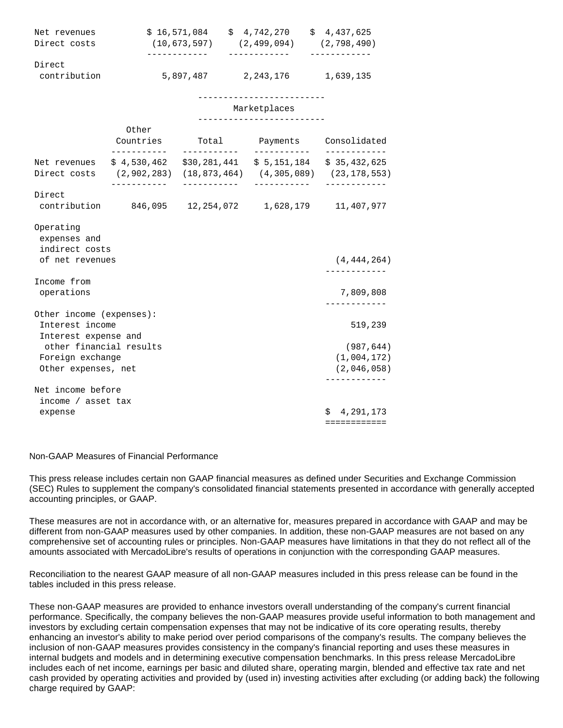| Net revenues | \$16,571,084 | \$4.742.270 | \$4,437,625 |
|--------------|--------------|-------------|-------------|
| Direct costs | (10.673.597) | (2.499.094) | (2.798.490) |
|              |              |             |             |
| Direct       |              |             |             |
| contribution | 5,897,487    | 2,243,176   | 1,639,135   |

#### -------------------------

#### Marketplaces

|                                                                                                                                     | Other<br>Countries    |                                                                     | Total Payments Consolidated<br>------------ | - - - - - - - - - -                      |
|-------------------------------------------------------------------------------------------------------------------------------------|-----------------------|---------------------------------------------------------------------|---------------------------------------------|------------------------------------------|
| Net revenues \$ 4,530,462 \$30,281,441 \$ 5,151,184 \$ 35,432,625<br>Direct costs (2,902,283) (18,873,464) (4,305,089) (23,178,553) |                       |                                                                     |                                             |                                          |
| Direct                                                                                                                              | . _ _ _ _ _ _ _ _ _ _ | -----------<br>contribution 846,095 12,254,072 1,628,179 11,407,977 | -----------                                 | ------------                             |
| Operating<br>expenses and<br>indirect costs<br>of net revenues                                                                      |                       |                                                                     |                                             | (4, 444, 264)                            |
| Income from<br>operations                                                                                                           |                       |                                                                     |                                             | 7,809,808<br>. _ _ _ _ _ _ _ _ _ _ _     |
| Other income (expenses):<br>Interest income<br>Interest expense and                                                                 |                       |                                                                     |                                             | 519,239                                  |
| other financial results<br>Foreign exchange<br>Other expenses, net                                                                  |                       |                                                                     |                                             | (987, 644)<br>(1,004,172)<br>(2,046,058) |
| Net income before                                                                                                                   |                       |                                                                     |                                             |                                          |
| income / asset tax                                                                                                                  |                       |                                                                     |                                             |                                          |
| expense                                                                                                                             |                       |                                                                     |                                             | \$4,291,173                              |
|                                                                                                                                     |                       |                                                                     |                                             | ============                             |

#### Non-GAAP Measures of Financial Performance

This press release includes certain non GAAP financial measures as defined under Securities and Exchange Commission (SEC) Rules to supplement the company's consolidated financial statements presented in accordance with generally accepted accounting principles, or GAAP.

These measures are not in accordance with, or an alternative for, measures prepared in accordance with GAAP and may be different from non-GAAP measures used by other companies. In addition, these non-GAAP measures are not based on any comprehensive set of accounting rules or principles. Non-GAAP measures have limitations in that they do not reflect all of the amounts associated with MercadoLibre's results of operations in conjunction with the corresponding GAAP measures.

Reconciliation to the nearest GAAP measure of all non-GAAP measures included in this press release can be found in the tables included in this press release.

These non-GAAP measures are provided to enhance investors overall understanding of the company's current financial performance. Specifically, the company believes the non-GAAP measures provide useful information to both management and investors by excluding certain compensation expenses that may not be indicative of its core operating results, thereby enhancing an investor's ability to make period over period comparisons of the company's results. The company believes the inclusion of non-GAAP measures provides consistency in the company's financial reporting and uses these measures in internal budgets and models and in determining executive compensation benchmarks. In this press release MercadoLibre includes each of net income, earnings per basic and diluted share, operating margin, blended and effective tax rate and net cash provided by operating activities and provided by (used in) investing activities after excluding (or adding back) the following charge required by GAAP: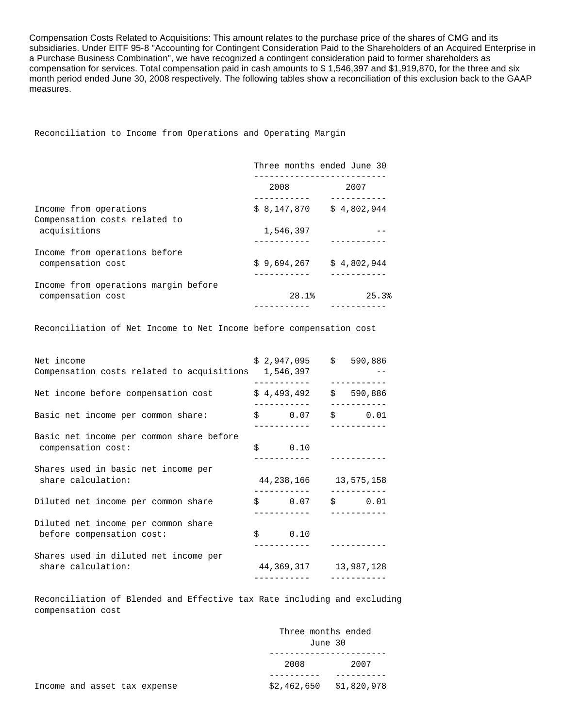Compensation Costs Related to Acquisitions: This amount relates to the purchase price of the shares of CMG and its subsidiaries. Under EITF 95-8 "Accounting for Contingent Consideration Paid to the Shareholders of an Acquired Enterprise in a Purchase Business Combination", we have recognized a contingent consideration paid to former shareholders as compensation for services. Total compensation paid in cash amounts to \$ 1,546,397 and \$1,919,870, for the three and six month period ended June 30, 2008 respectively. The following tables show a reconciliation of this exclusion back to the GAAP measures.

Reconciliation to Income from Operations and Operating Margin

| Three months ended June 30 |             |
|----------------------------|-------------|
| 2008                       | 2007        |
| \$8,147,870                | \$4,802,944 |
| 1,546,397                  |             |
| \$9,694,267                | \$4,802,944 |
| 28.1%                      | 25.3%       |
|                            |             |

Reconciliation of Net Income to Net Income before compensation cost

| Net income<br>Compensation costs related to acquisitions 1,546,397 | $$2,947,095$ $$590,886$<br>-----------   |                      |
|--------------------------------------------------------------------|------------------------------------------|----------------------|
| Net income before compensation cost                                | \$4,493,492                              | \$590,886            |
| Basic net income per common share:                                 | \$0.07<br>------------                   | \$0.01<br>__________ |
| Basic net income per common share before<br>compensation cost:     | \$0.10                                   |                      |
| Shares used in basic net income per<br>share calculation:          | 44, 238, 166 13, 575, 158                |                      |
| Diluted net income per common share                                | \$0.07                                   | \$0.01               |
| Diluted net income per common share<br>before compensation cost:   | \$0.10                                   |                      |
| Shares used in diluted net income per<br>share calculation:        | 44, 369, 317 13, 987, 128<br>----------- |                      |

 Reconciliation of Blended and Effective tax Rate including and excluding compensation cost

|                              | Three months ended<br>June 30 |                           |  |
|------------------------------|-------------------------------|---------------------------|--|
|                              | 2008                          | 2007                      |  |
|                              |                               |                           |  |
| Income and asset tax expense |                               | $$2,462,650$ $$1,820,978$ |  |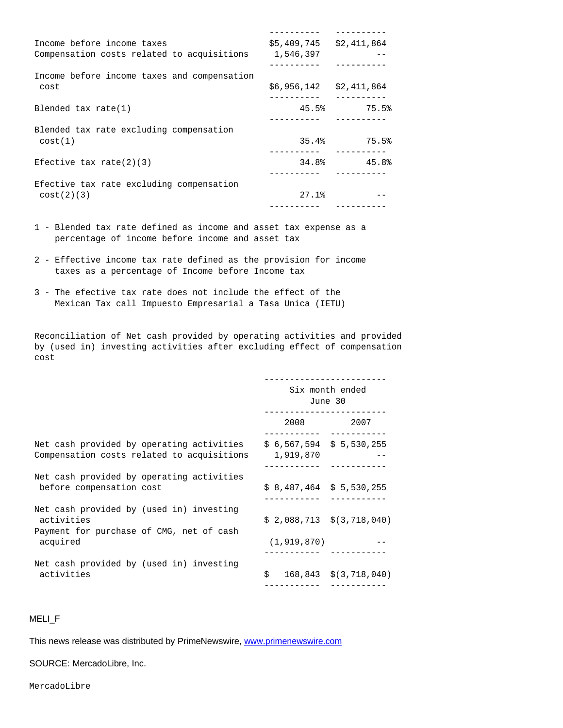| Income before income taxes                  | \$5,409,745 | \$2,411,864                             |
|---------------------------------------------|-------------|-----------------------------------------|
| Compensation costs related to acquisitions  | 1,546,397   |                                         |
| Income before income taxes and compensation |             |                                         |
| cost                                        | \$6,956,142 | \$2,411,864                             |
| Blended tax $rate(1)$                       |             | 45.5% 75.5%                             |
| Blended tax rate excluding compensation     |             |                                         |
| cost(1)                                     |             | $35.4%$ 75.5%                           |
| Efective tax rate(2)(3)                     |             | $34.8$ <sup>2</sup> $45.8$ <sup>2</sup> |
| Efective tax rate excluding compensation    |             |                                         |
| cost(2)(3)                                  | 27.1%       |                                         |
|                                             |             |                                         |

- 1 Blended tax rate defined as income and asset tax expense as a percentage of income before income and asset tax
- 2 Effective income tax rate defined as the provision for income taxes as a percentage of Income before Income tax
- 3 The efective tax rate does not include the effect of the Mexican Tax call Impuesto Empresarial a Tasa Unica (IETU)

 Reconciliation of Net cash provided by operating activities and provided by (used in) investing activities after excluding effect of compensation cost

|                                                                                                    | Six month ended<br>June 30            |                                |
|----------------------------------------------------------------------------------------------------|---------------------------------------|--------------------------------|
|                                                                                                    | 2008 — 100                            | 2007                           |
| Net cash provided by operating activities<br>Compensation costs related to acquisitions            | $$6,567,594 \$5,530,255$<br>1,919,870 |                                |
| Net cash provided by operating activities<br>before compensation cost                              | $$8,487,464 \t$5,530,255$             |                                |
| Net cash provided by (used in) investing<br>activities<br>Payment for purchase of CMG, net of cash |                                       | $$2,088,713 \t$$ $(3,718,040)$ |
| acquired                                                                                           | (1, 919, 870)                         |                                |
| Net cash provided by (used in) investing<br>activities                                             | \$                                    | $168,843 \t $(3,718,040)$      |

## MELI\_F

This news release was distributed by PrimeNewswire, [www.primenewswire.com](http://www.primenewswire.com/)

SOURCE: MercadoLibre, Inc.

MercadoLibre